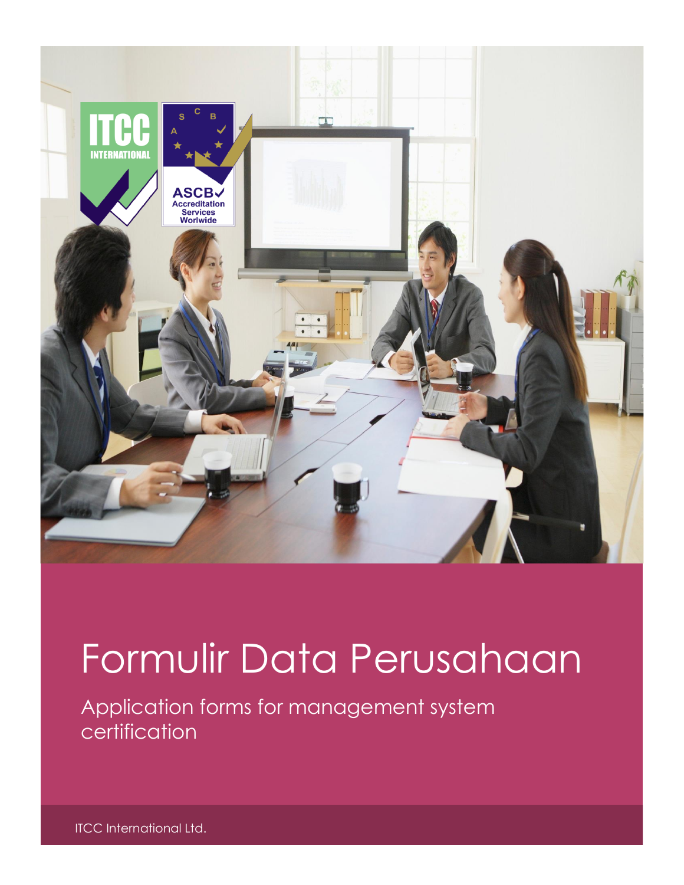

# Formulir Data Perusahaan

Application forms for management system certification

ITCC International Ltd.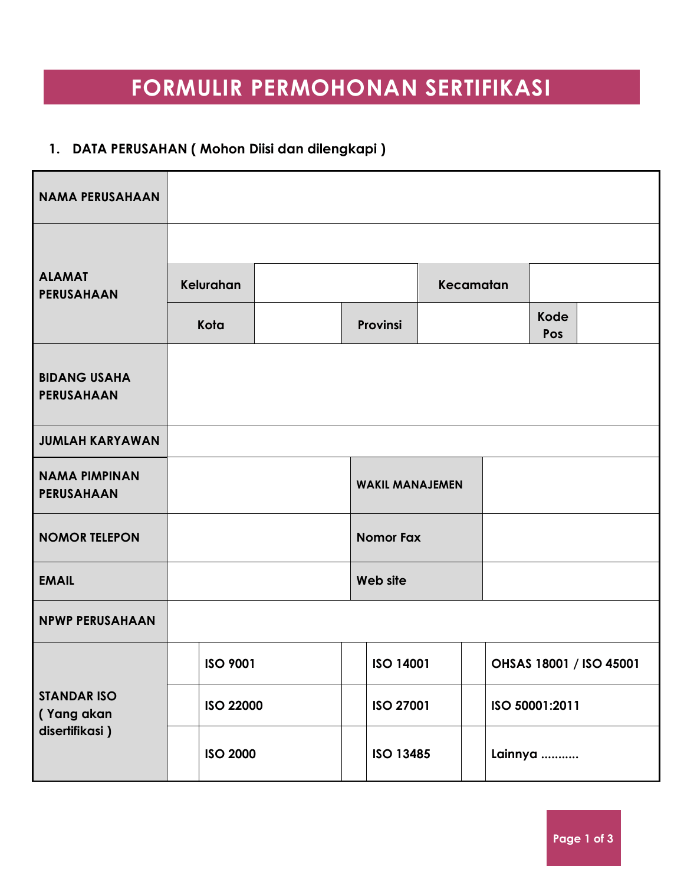## **FORMULIR PERMOHONAN SERTIFIKASI**

### **1. DATA PERUSAHAN ( Mohon Diisi dan dilengkapi )**

| <b>NAMA PERUSAHAAN</b>                    |                  |  |                        |                  |                |                         |  |
|-------------------------------------------|------------------|--|------------------------|------------------|----------------|-------------------------|--|
|                                           |                  |  |                        |                  |                |                         |  |
| <b>ALAMAT</b><br><b>PERUSAHAAN</b>        | Kelurahan        |  |                        | Kecamatan        |                |                         |  |
|                                           | Kota             |  | Provinsi               |                  |                | <b>Kode</b><br>Pos      |  |
| <b>BIDANG USAHA</b><br>PERUSAHAAN         |                  |  |                        |                  |                |                         |  |
| <b>JUMLAH KARYAWAN</b>                    |                  |  |                        |                  |                |                         |  |
| <b>NAMA PIMPINAN</b><br><b>PERUSAHAAN</b> |                  |  | <b>WAKIL MANAJEMEN</b> |                  |                |                         |  |
| <b>NOMOR TELEPON</b>                      |                  |  | <b>Nomor Fax</b>       |                  |                |                         |  |
| <b>EMAIL</b>                              |                  |  | Web site               |                  |                |                         |  |
| <b>NPWP PERUSAHAAN</b>                    |                  |  |                        |                  |                |                         |  |
|                                           | <b>ISO 9001</b>  |  |                        | <b>ISO 14001</b> |                | OHSAS 18001 / ISO 45001 |  |
| <b>STANDAR ISO</b><br>(Yang akan          | <b>ISO 22000</b> |  | ISO 27001              |                  | ISO 50001:2011 |                         |  |
| disertifikasi)                            | <b>ISO 2000</b>  |  | <b>ISO 13485</b>       |                  | Lainnya        |                         |  |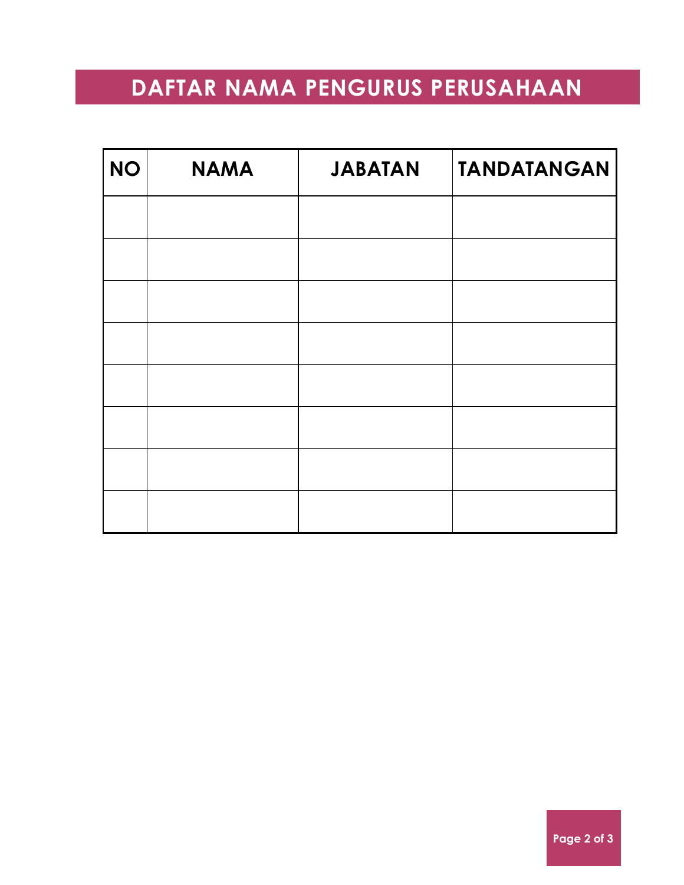### **DAFTAR NAMA PENGURUS PERUSAHAAN**

| <b>NO</b> | <b>NAMA</b> | <b>JABATAN</b> | <b>TANDATANGAN</b> |
|-----------|-------------|----------------|--------------------|
|           |             |                |                    |
|           |             |                |                    |
|           |             |                |                    |
|           |             |                |                    |
|           |             |                |                    |
|           |             |                |                    |
|           |             |                |                    |
|           |             |                |                    |